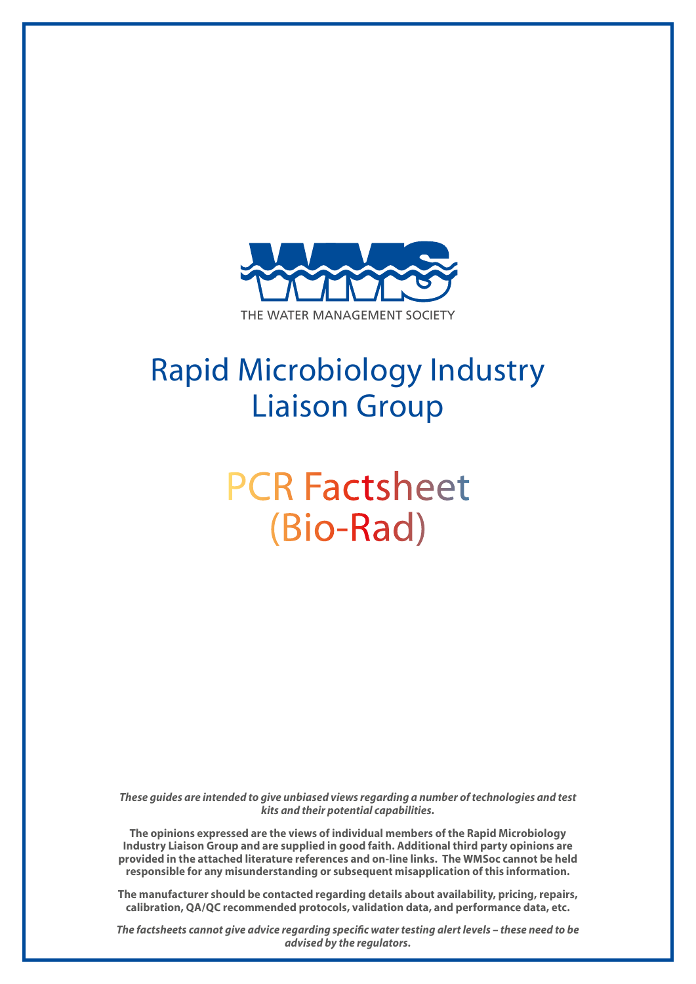

## Rapid Microbiology Industry Liaison Group

# PCR Factsheet (Bio-Rad)

*These guides are intended to give unbiased views regarding a number of technologies and test kits and their potential capabilities.*

**The opinions expressed are the views of individual members of the Rapid Microbiology Industry Liaison Group and are supplied in good faith. Additional third party opinions are provided in the attached literature references and on-line links. The WMSoc cannot be held responsible for any misunderstanding or subsequent misapplication of this information.**

**The manufacturer should be contacted regarding details about availability, pricing, repairs, calibration, QA/QC recommended protocols, validation data, and performance data, etc.**

*The factsheets cannot give advice regarding specific water testing alert levels – these need to be advised by the regulators.*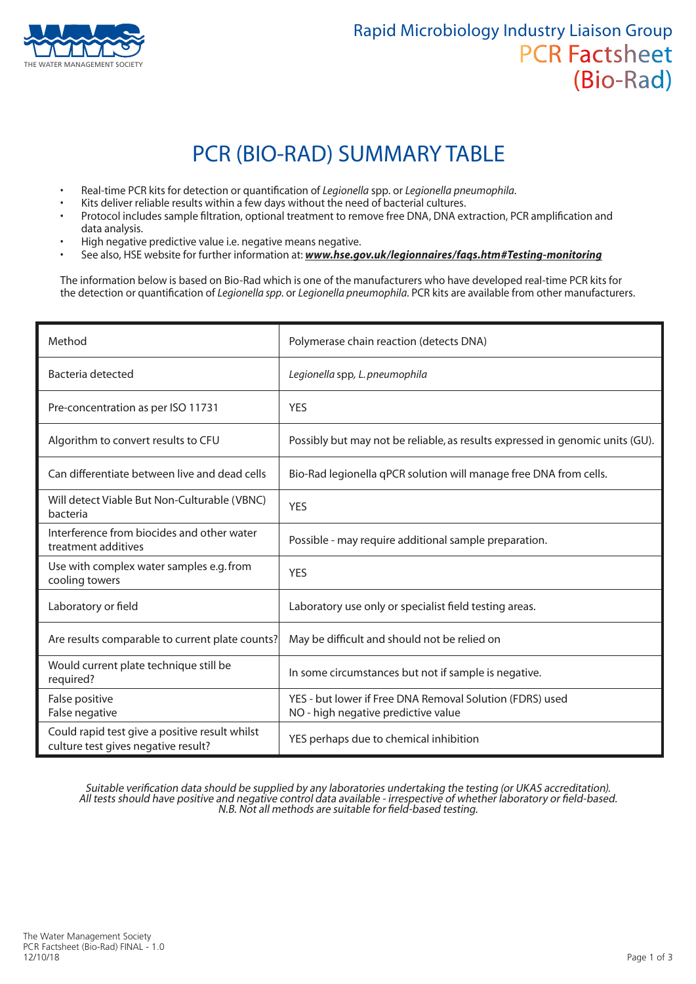

### PCR (BIO-RAD) SUMMARY TABLE

- Real-time PCR kits for detection or quantification of *Legionella* spp. or *Legionella pneumophila*.
- Kits deliver reliable results within a few days without the need of bacterial cultures.
- Protocol includes sample filtration, optional treatment to remove free DNA, DNA extraction, PCR amplification and data analysis.
- High negative predictive value i.e. negative means negative.
- See also, HSE website for further information at: *www.hse.gov.uk/legionnaires/faqs.htm#Testing-monitoring*

The information below is based on Bio-Rad which is one of the manufacturers who have developed real-time PCR kits for the detection or quantification of *Legionella spp*. or *Legionella pneumophila*. PCR kits are available from other manufacturers.

| Method                                                                                | Polymerase chain reaction (detects DNA)                                                         |
|---------------------------------------------------------------------------------------|-------------------------------------------------------------------------------------------------|
| Bacteria detected                                                                     | Legionella spp, L. pneumophila                                                                  |
| Pre-concentration as per ISO 11731                                                    | <b>YES</b>                                                                                      |
| Algorithm to convert results to CFU                                                   | Possibly but may not be reliable, as results expressed in genomic units (GU).                   |
| Can differentiate between live and dead cells                                         | Bio-Rad legionella qPCR solution will manage free DNA from cells.                               |
| Will detect Viable But Non-Culturable (VBNC)<br>bacteria                              | <b>YES</b>                                                                                      |
| Interference from biocides and other water<br>treatment additives                     | Possible - may require additional sample preparation.                                           |
| Use with complex water samples e.g. from<br>cooling towers                            | <b>YES</b>                                                                                      |
| Laboratory or field                                                                   | Laboratory use only or specialist field testing areas.                                          |
| Are results comparable to current plate counts?                                       | May be difficult and should not be relied on                                                    |
| Would current plate technique still be<br>required?                                   | In some circumstances but not if sample is negative.                                            |
| False positive<br>False negative                                                      | YES - but lower if Free DNA Removal Solution (FDRS) used<br>NO - high negative predictive value |
| Could rapid test give a positive result whilst<br>culture test gives negative result? | YES perhaps due to chemical inhibition                                                          |

Suitable verification data should be supplied by any laboratories undertaking the testing (or UKAS accreditation). All tests should have positive and negative control data available - irrespective of whether laboratory or field-based. N.B. Not all methods are suitable for field-based testing.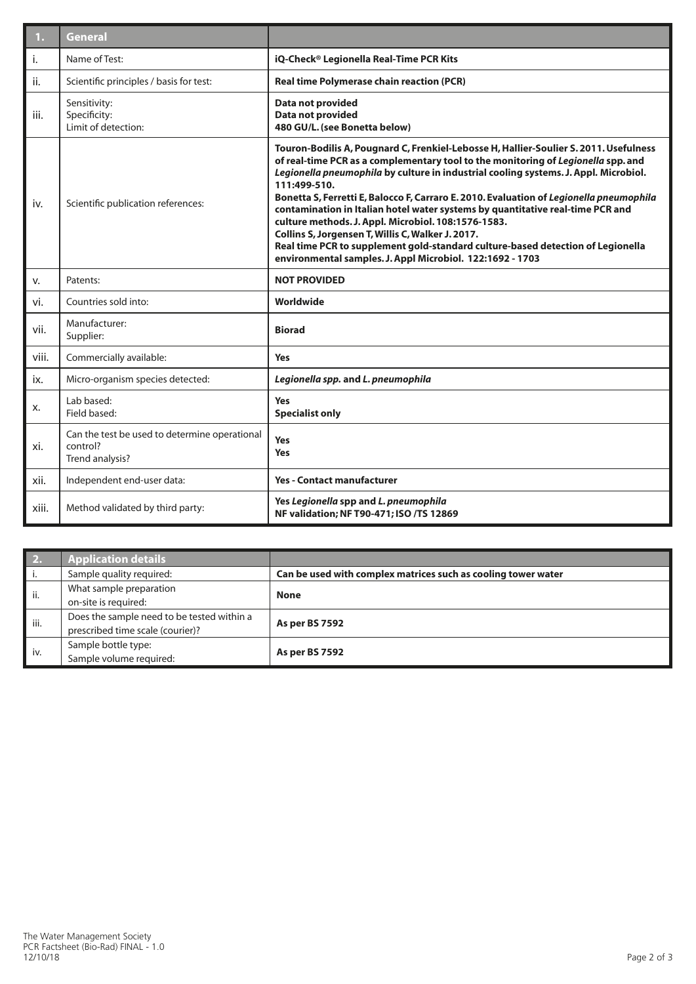| 1.    | <b>General</b>                                                               |                                                                                                                                                                                                                                                                                                                                                                                                                                                                                                                                                                                                                                                                                                                             |  |
|-------|------------------------------------------------------------------------------|-----------------------------------------------------------------------------------------------------------------------------------------------------------------------------------------------------------------------------------------------------------------------------------------------------------------------------------------------------------------------------------------------------------------------------------------------------------------------------------------------------------------------------------------------------------------------------------------------------------------------------------------------------------------------------------------------------------------------------|--|
| i.    | Name of Test:                                                                | iQ-Check® Legionella Real-Time PCR Kits                                                                                                                                                                                                                                                                                                                                                                                                                                                                                                                                                                                                                                                                                     |  |
| ii.   | Scientific principles / basis for test:                                      | <b>Real time Polymerase chain reaction (PCR)</b>                                                                                                                                                                                                                                                                                                                                                                                                                                                                                                                                                                                                                                                                            |  |
| iii.  | Sensitivity:<br>Specificity:<br>Limit of detection:                          | Data not provided<br>Data not provided<br>480 GU/L. (see Bonetta below)                                                                                                                                                                                                                                                                                                                                                                                                                                                                                                                                                                                                                                                     |  |
| iv.   | Scientific publication references:                                           | Touron-Bodilis A, Pougnard C, Frenkiel-Lebosse H, Hallier-Soulier S. 2011. Usefulness<br>of real-time PCR as a complementary tool to the monitoring of Legionella spp. and<br>Legionella pneumophila by culture in industrial cooling systems. J. Appl. Microbiol.<br>111:499-510.<br>Bonetta S, Ferretti E, Balocco F, Carraro E. 2010. Evaluation of Legionella pneumophila<br>contamination in Italian hotel water systems by quantitative real-time PCR and<br>culture methods. J. Appl. Microbiol. 108:1576-1583.<br>Collins S, Jorgensen T, Willis C, Walker J. 2017.<br>Real time PCR to supplement gold-standard culture-based detection of Legionella<br>environmental samples. J. Appl Microbiol. 122:1692 - 1703 |  |
| V.    | Patents:                                                                     | <b>NOT PROVIDED</b>                                                                                                                                                                                                                                                                                                                                                                                                                                                                                                                                                                                                                                                                                                         |  |
| vi.   | Countries sold into:                                                         | Worldwide                                                                                                                                                                                                                                                                                                                                                                                                                                                                                                                                                                                                                                                                                                                   |  |
| vii.  | Manufacturer:<br>Supplier:                                                   | <b>Biorad</b>                                                                                                                                                                                                                                                                                                                                                                                                                                                                                                                                                                                                                                                                                                               |  |
| viii. | Commercially available:                                                      | <b>Yes</b>                                                                                                                                                                                                                                                                                                                                                                                                                                                                                                                                                                                                                                                                                                                  |  |
| ix.   | Micro-organism species detected:                                             | Legionella spp. and L. pneumophila                                                                                                                                                                                                                                                                                                                                                                                                                                                                                                                                                                                                                                                                                          |  |
| х.    | Lab based:<br>Field based:                                                   | <b>Yes</b><br><b>Specialist only</b>                                                                                                                                                                                                                                                                                                                                                                                                                                                                                                                                                                                                                                                                                        |  |
| xi.   | Can the test be used to determine operational<br>control?<br>Trend analysis? | <b>Yes</b><br>Yes                                                                                                                                                                                                                                                                                                                                                                                                                                                                                                                                                                                                                                                                                                           |  |
| xii.  | Independent end-user data:                                                   | <b>Yes - Contact manufacturer</b>                                                                                                                                                                                                                                                                                                                                                                                                                                                                                                                                                                                                                                                                                           |  |
| xiii. | Method validated by third party:                                             | Yes Legionella spp and L. pneumophila<br>NF validation; NF T90-471; ISO /TS 12869                                                                                                                                                                                                                                                                                                                                                                                                                                                                                                                                                                                                                                           |  |

| 2.   | <b>Application details</b>                 |                                                               |  |
|------|--------------------------------------------|---------------------------------------------------------------|--|
|      | Sample quality required:                   | Can be used with complex matrices such as cooling tower water |  |
| ii.  | What sample preparation                    | <b>None</b>                                                   |  |
|      | on-site is required:                       |                                                               |  |
| iii. | Does the sample need to be tested within a |                                                               |  |
|      | prescribed time scale (courier)?           | <b>As per BS 7592</b>                                         |  |
| iv.  | Sample bottle type:                        | <b>As per BS 7592</b>                                         |  |
|      | Sample volume required:                    |                                                               |  |